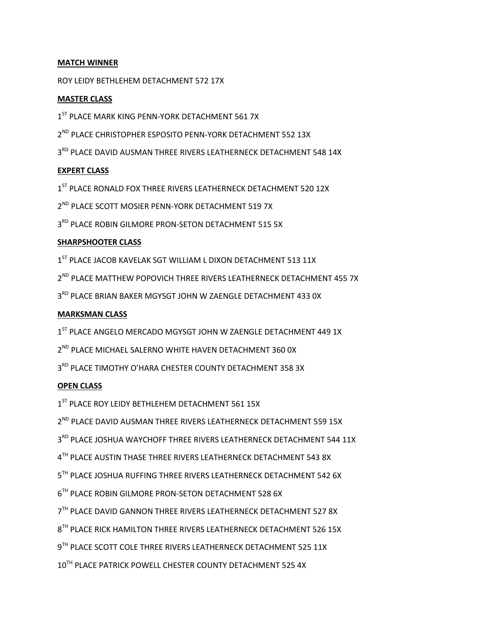# **MATCH WINNER**

ROY LEIDY BETHLEHEM DETACHMENT 572 17X

## **MASTER CLASS**

- 1<sup>ST</sup> PLACE MARK KING PENN-YORK DETACHMENT 561 7X
- 2<sup>ND</sup> PLACE CHRISTOPHER ESPOSITO PENN-YORK DETACHMENT 552 13X
- 3RD PLACE DAVID AUSMAN THREE RIVERS LEATHERNECK DETACHMENT 548 14X

## **EXPERT CLASS**

1<sup>ST</sup> PLACE RONALD FOX THREE RIVERS LEATHERNECK DETACHMENT 520 12X

2<sup>ND</sup> PLACE SCOTT MOSIER PENN-YORK DETACHMENT 519 7X

3RD PLACE ROBIN GILMORE PRON-SETON DETACHMENT 515 5X

# **SHARPSHOOTER CLASS**

1<sup>ST</sup> PLACE JACOB KAVELAK SGT WILLIAM L DIXON DETACHMENT 513 11X

2<sup>ND</sup> PLACE MATTHEW POPOVICH THREE RIVERS LEATHERNECK DETACHMENT 455 7X

3RD PLACE BRIAN BAKER MGYSGT JOHN W ZAENGLE DETACHMENT 433 0X

## **MARKSMAN CLASS**

1<sup>ST</sup> PLACE ANGELO MERCADO MGYSGT JOHN W ZAENGLE DETACHMENT 449 1X

2<sup>ND</sup> PLACE MICHAEL SALERNO WHITE HAVEN DETACHMENT 360 0X

3<sup>RD</sup> PLACE TIMOTHY O'HARA CHESTER COUNTY DETACHMENT 358 3X

# **OPEN CLASS**

1<sup>ST</sup> PLACE ROY LEIDY BETHLEHEM DETACHMENT 561 15X

 $2^{ND}$  PLACE DAVID AUSMAN THREE RIVERS LEATHERNECK DETACHMENT 559 15X

3<sup>RD</sup> PLACE JOSHUA WAYCHOFF THREE RIVERS LEATHERNECK DETACHMENT 544 11X

 $4^{TH}$  PLACE AUSTIN THASE THREE RIVERS LEATHERNECK DETACHMENT 543 8X

5<sup>TH</sup> PLACE JOSHUA RUFFING THREE RIVERS LEATHERNECK DETACHMENT 542 6X

 $6^{TH}$  PLACE ROBIN GILMORE PRON-SETON DETACHMENT 528 6X

7<sup>TH</sup> PLACE DAVID GANNON THREE RIVERS LEATHERNECK DETACHMENT 527 8X

 $8^{TH}$  PLACE RICK HAMILTON THREE RIVERS LEATHERNECK DETACHMENT 526 15X

9TH PLACE SCOTT COLE THREE RIVERS LEATHERNECK DETACHMENT 525 11X

 $10^{TH}$  PLACE PATRICK POWELL CHESTER COUNTY DETACHMENT 525 4X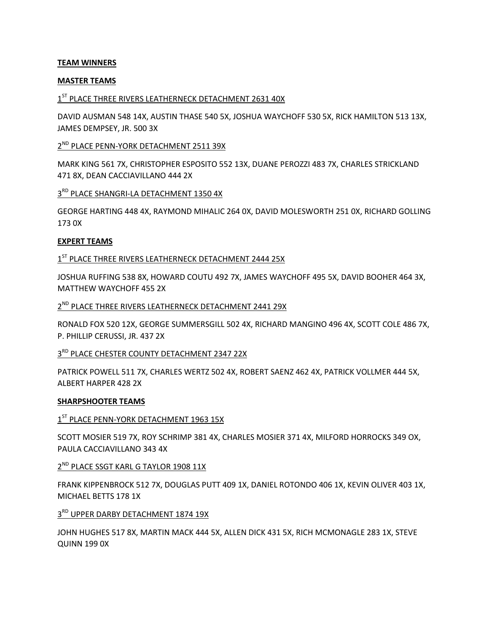#### **TEAM WINNERS**

#### **MASTER TEAMS**

# 1<sup>ST</sup> PLACE THREE RIVERS LEATHERNECK DETACHMENT 2631 40X

DAVID AUSMAN 548 14X, AUSTIN THASE 540 5X, JOSHUA WAYCHOFF 530 5X, RICK HAMILTON 513 13X, JAMES DEMPSEY, JR. 500 3X

#### 2<sup>ND</sup> PLACE PENN-YORK DETACHMENT 2511 39X

MARK KING 561 7X, CHRISTOPHER ESPOSITO 552 13X, DUANE PEROZZI 483 7X, CHARLES STRICKLAND 471 8X, DEAN CACCIAVILLANO 444 2X

# 3RD PLACE SHANGRI-LA DETACHMENT 1350 4X

GEORGE HARTING 448 4X, RAYMOND MIHALIC 264 0X, DAVID MOLESWORTH 251 0X, RICHARD GOLLING 173 0X

#### **EXPERT TEAMS**

#### 1<sup>ST</sup> PLACE THREE RIVERS LEATHERNECK DETACHMENT 2444 25X

JOSHUA RUFFING 538 8X, HOWARD COUTU 492 7X, JAMES WAYCHOFF 495 5X, DAVID BOOHER 464 3X, MATTHEW WAYCHOFF 455 2X

# 2<sup>ND</sup> PLACE THREE RIVERS LEATHERNECK DETACHMENT 2441 29X

RONALD FOX 520 12X, GEORGE SUMMERSGILL 502 4X, RICHARD MANGINO 496 4X, SCOTT COLE 486 7X, P. PHILLIP CERUSSI, JR. 437 2X

# 3<sup>RD</sup> PLACE CHESTER COUNTY DETACHMENT 2347 22X

PATRICK POWELL 511 7X, CHARLES WERTZ 502 4X, ROBERT SAENZ 462 4X, PATRICK VOLLMER 444 5X, ALBERT HARPER 428 2X

#### **SHARPSHOOTER TEAMS**

#### $1^\text{ST}$  PLACE PENN-YORK DETACHMENT 1963 15X

SCOTT MOSIER 519 7X, ROY SCHRIMP 381 4X, CHARLES MOSIER 371 4X, MILFORD HORROCKS 349 OX, PAULA CACCIAVILLANO 343 4X

#### 2<sup>ND</sup> PLACE SSGT KARL G TAYLOR 1908 11X

FRANK KIPPENBROCK 512 7X, DOUGLAS PUTT 409 1X, DANIEL ROTONDO 406 1X, KEVIN OLIVER 403 1X, MICHAEL BETTS 178 1X

# 3RD UPPER DARBY DETACHMENT 1874 19X

# JOHN HUGHES 517 8X, MARTIN MACK 444 5X, ALLEN DICK 431 5X, RICH MCMONAGLE 283 1X, STEVE QUINN 199 0X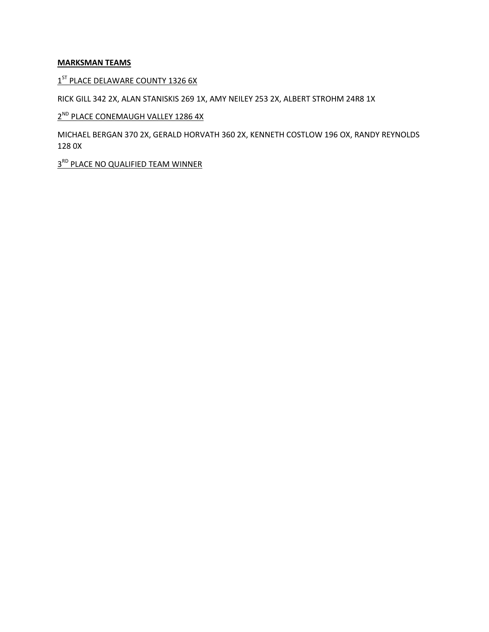# **MARKSMAN TEAMS**

1<sup>ST</sup> PLACE DELAWARE COUNTY 1326 6X

RICK GILL 342 2X, ALAN STANISKIS 269 1X, AMY NEILEY 253 2X, ALBERT STROHM 24R8 1X

# 2<sup>ND</sup> PLACE CONEMAUGH VALLEY 1286 4X

MICHAEL BERGAN 370 2X, GERALD HORVATH 360 2X, KENNETH COSTLOW 196 OX, RANDY REYNOLDS 128 0X

3<sup>RD</sup> PLACE NO QUALIFIED TEAM WINNER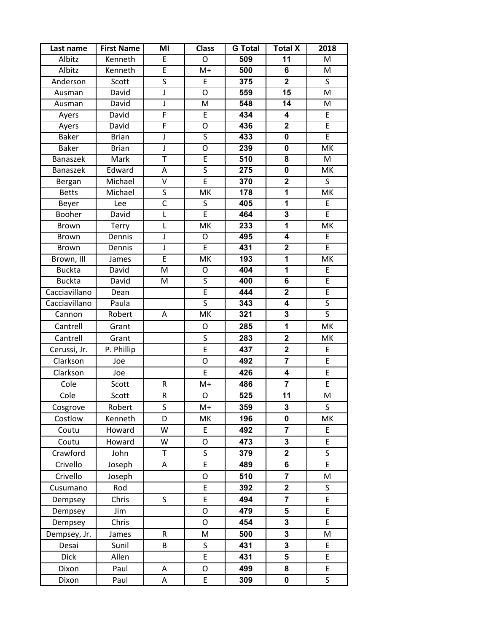| Last name       | <b>First Name</b> | ΜI                      | <b>Class</b>             | <b>G</b> Total | <b>Total X</b>          | 2018                     |
|-----------------|-------------------|-------------------------|--------------------------|----------------|-------------------------|--------------------------|
| Albitz          | Kenneth           | E                       | O                        | 509            | $\overline{11}$         | M                        |
| Albitz          | Kenneth           | E                       | $M+$                     | 500            | 6                       | M                        |
| Anderson        | Scott             | $\overline{\mathsf{S}}$ | E                        | 375            | $\overline{2}$          | $\sf S$                  |
| Ausman          | David             | $\sf J$                 | O                        | 559            | $\overline{15}$         | M                        |
| Ausman          | David             | J                       | M                        | 548            | 14                      | M                        |
| Ayers           | David             | $\overline{F}$          | E                        | 434            | 4                       | E                        |
| Ayers           | David             | $\overline{F}$          | O                        | 436            | $\mathbf{2}$            | $\overline{E}$           |
| <b>Baker</b>    | <b>Brian</b>      | $\mathsf J$             | $\overline{\mathsf{S}}$  | 433            | $\mathbf 0$             | $\overline{E}$           |
| <b>Baker</b>    | <b>Brian</b>      | $\overline{\mathsf{J}}$ | $\overline{0}$           | 239            | $\pmb{0}$               | MK                       |
| <b>Banaszek</b> | Mark              | T                       | E                        | 510            | 8                       | M                        |
| <b>Banaszek</b> | Edward            | Α                       | $\overline{\mathsf{s}}$  | 275            | $\overline{\mathbf{0}}$ | $\overline{\mathsf{MK}}$ |
| Bergan          | Michael           | $\overline{\mathsf{v}}$ | Ē                        | 370            | $\overline{2}$          | $\overline{\mathsf{S}}$  |
| <b>Betts</b>    | Michael           | $\overline{\mathsf{S}}$ | $\overline{\mathsf{MK}}$ | 178            | $\overline{\mathbf{1}}$ | $\overline{\mathsf{MK}}$ |
| Beyer           | Lee               | $\overline{\mathsf{C}}$ | $\overline{\mathsf{S}}$  | 405            | $\overline{1}$          | E                        |
| Booher          | David             | $\overline{L}$          | $\overline{E}$           | 464            | $\overline{3}$          | $\overline{E}$           |
| <b>Brown</b>    | Terry             | L                       | MK                       | 233            | 1                       | MK                       |
| <b>Brown</b>    | Dennis            | J                       | O                        | 495            | $\overline{\mathbf{4}}$ | $\overline{E}$           |
| Brown           | Dennis            | $\sf J$                 | E                        | 431            | $\overline{\mathbf{2}}$ | $\overline{E}$           |
| Brown, III      | James             | E                       | MK                       | 193            | $\mathbf 1$             | MK                       |
| <b>Buckta</b>   | David             | M                       | O                        | 404            | $\overline{1}$          | $\overline{E}$           |
| <b>Buckta</b>   | David             | M                       | S                        | 400            | 6                       | $\overline{E}$           |
| Cacciavillano   | Dean              |                         | $\overline{E}$           | 444            | $\overline{\mathbf{2}}$ | $\overline{E}$           |
| Cacciavillano   | Paula             |                         | $\overline{\mathsf{s}}$  | 343            | $\overline{4}$          | $\overline{\mathsf{S}}$  |
| Cannon          | Robert            | Α                       | $\overline{\mathsf{MK}}$ | 321            | $\overline{\mathbf{3}}$ | $\overline{\mathsf{S}}$  |
| Cantrell        | Grant             |                         | O                        | 285            | 1                       | MK                       |
| Cantrell        | Grant             |                         | $\sf S$                  | 283            | $\overline{\mathbf{2}}$ | MK                       |
| Cerussi, Jr.    | P. Phillip        |                         | $\overline{E}$           | 437            | $\mathbf 2$             | E                        |
| Clarkson        | Joe               |                         | O                        | 492            | $\overline{7}$          | E                        |
| Clarkson        | Joe               |                         | E                        | 426            | $\overline{\mathbf{4}}$ | E                        |
| Cole            | Scott             | R                       | $M+$                     | 486            | $\overline{7}$          | E                        |
| Cole            | Scott             | R                       | O                        | 525            | 11                      | M                        |
| Cosgrove        | Robert            | S                       | $M+$                     | 359            | 3                       | S                        |
| Costlow         | Kenneth           | D                       | MK                       | 196            | $\mathbf 0$             | MK                       |
| Coutu           | Howard            | W                       | E                        | 492            | $\overline{7}$          | E                        |
| Coutu           | Howard            | W                       | O                        | 473            | $\mathbf 3$             | E                        |
| Crawford        | John              | T                       | S                        | 379            | $\overline{\mathbf{2}}$ | S                        |
| Crivello        | Joseph            | Α                       | E                        | 489            | 6                       | E                        |
| Crivello        | Joseph            |                         | O                        | 510            | $\overline{7}$          | M                        |
| Cusumano        | Rod               |                         | E                        | 392            | $\mathbf 2$             | S                        |
| Dempsey         | Chris             | S                       | E                        | 494            | $\overline{\mathbf{7}}$ | E                        |
| Dempsey         | Jim               |                         | $\overline{O}$           | 479            | 5                       | E                        |
| Dempsey         | Chris             |                         | O                        | 454            | $\mathbf 3$             | E                        |
| Dempsey, Jr.    | James             | R                       | M                        | 500            | $\mathbf{3}$            | M                        |
| Desai           | Sunil             | B                       | S                        | 431            | $\mathbf 3$             | E                        |
| <b>Dick</b>     | Allen             |                         | E                        | 431            | 5                       | E                        |
| Dixon           | Paul              | Α                       | O                        | 499            | 8                       | E                        |
| Dixon           | Paul              | А                       | E                        | 309            | $\pmb{0}$               | S                        |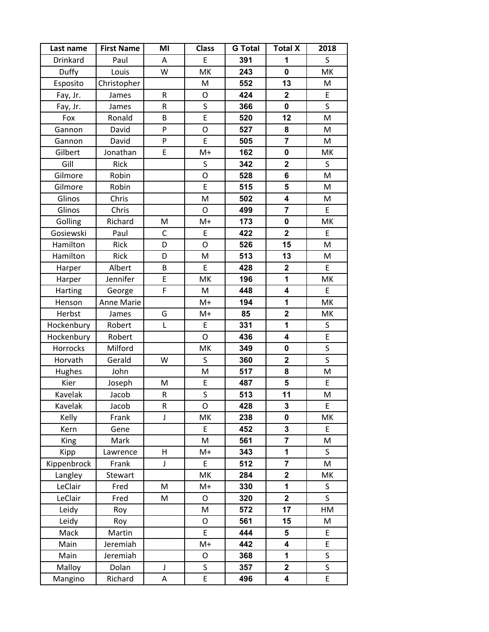| Last name   | <b>First Name</b> | MI           | <b>Class</b>            | <b>G</b> Total | <b>Total X</b>          | 2018 |
|-------------|-------------------|--------------|-------------------------|----------------|-------------------------|------|
| Drinkard    | Paul              | Α            | E                       | 391            | 1                       | S    |
| Duffy       | Louis             | W            | MK                      | 243            | $\mathbf 0$             | MK   |
| Esposito    | Christopher       |              | M                       | 552            | 13                      | M    |
| Fay, Jr.    | James             | R            | O                       | 424            | $\mathbf 2$             | E    |
| Fay, Jr.    | James             | R            | $\sf S$                 | 366            | $\mathbf 0$             | S    |
| Fox         | Ronald            | B            | E                       | 520            | 12                      | M    |
| Gannon      | David             | P            | O                       | 527            | 8                       | M    |
| Gannon      | David             | P            | E                       | 505            | $\overline{7}$          | M    |
| Gilbert     | Jonathan          | E            | $M+$                    | 162            | $\pmb{0}$               | MK   |
| Gill        | Rick              |              | S                       | 342            | $\mathbf 2$             | S    |
| Gilmore     | Robin             |              | O                       | 528            | 6                       | M    |
| Gilmore     | Robin             |              | E                       | 515            | 5                       | M    |
| Glinos      | Chris             |              | M                       | 502            | $\overline{\mathbf{4}}$ | M    |
| Glinos      | Chris             |              | O                       | 499            | $\overline{\mathbf{r}}$ | E    |
| Golling     | Richard           | M            | $M+$                    | 173            | $\mathbf 0$             | MK   |
| Gosiewski   | Paul              | $\mathsf C$  | E                       | 422            | $\overline{\mathbf{2}}$ | E    |
| Hamilton    | Rick              | D            | O                       | 526            | 15                      | M    |
| Hamilton    | Rick              | D            | M                       | 513            | 13                      | M    |
| Harper      | Albert            | B            | E                       | 428            | $\mathbf 2$             | E    |
| Harper      | Jennifer          | E            | MK                      | 196            | 1                       | MK   |
| Harting     | George            | F            | M                       | 448            | $\overline{\mathbf{4}}$ | E    |
| Henson      | Anne Marie        |              | $M+$                    | 194            | 1                       | MK   |
| Herbst      | James             | G            | $M+$                    | 85             | $\overline{\mathbf{2}}$ | MK   |
| Hockenbury  | Robert            | $\mathsf{L}$ | E                       | 331            | 1                       | S    |
| Hockenbury  | Robert            |              | O                       | 436            | $\overline{\mathbf{4}}$ | E    |
| Horrocks    | Milford           |              | MK                      | 349            | $\pmb{0}$               | S    |
| Horvath     | Gerald            | W            | S                       | 360            | $\overline{\mathbf{2}}$ | S    |
| Hughes      | John              |              | M                       | 517            | 8                       | M    |
| Kier        | Joseph            | M            | E                       | 487            | 5                       | E    |
| Kavelak     | Jacob             | R            | $\overline{\mathsf{S}}$ | 513            | 11                      | M    |
| Kavelak     | Jacob             | R            | O                       | 428            | 3                       | E    |
| Kelly       | Frank             | J            | MK                      | 238            | 0                       | MK   |
| Kern        | Gene              |              | E                       | 452            | 3                       | E    |
| King        | Mark              |              | M                       | 561            | $\overline{\mathbf{7}}$ | M    |
| Kipp        | Lawrence          | H            | $M+$                    | 343            | 1                       | S    |
| Kippenbrock | Frank             | $\mathsf J$  | E                       | 512            | $\overline{\mathbf{r}}$ | M    |
| Langley     | Stewart           |              | MK                      | 284            | $\mathbf 2$             | MK   |
| LeClair     | Fred              | M            | $M+$                    | 330            | 1                       | S    |
| LeClair     | Fred              | М            | O                       | 320            | $\mathbf 2$             | S    |
| Leidy       | Roy               |              | M                       | 572            | 17                      | HM   |
| Leidy       | Roy               |              | O                       | 561            | 15                      | M    |
| Mack        | Martin            |              | E                       | 444            | 5                       | E    |
| Main        | Jeremiah          |              | $M+$                    | 442            | 4                       | E    |
| Main        | Jeremiah          |              | O                       | 368            | 1                       | S    |
| Malloy      | Dolan             | $\mathsf J$  | S                       | 357            | $\mathbf{2}$            | S    |
| Mangino     | Richard           | A            | E                       | 496            | 4                       | E    |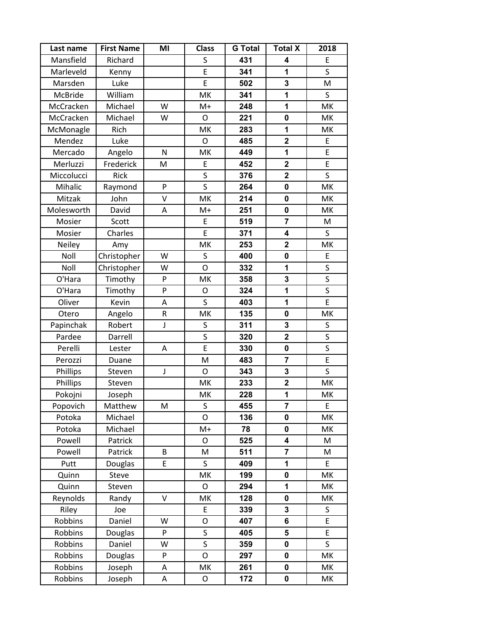| Last name  | <b>First Name</b> | MI | <b>Class</b>   | <b>G</b> Total | <b>Total X</b>          | 2018 |
|------------|-------------------|----|----------------|----------------|-------------------------|------|
| Mansfield  | Richard           |    | S              | 431            | 4                       | E    |
| Marleveld  | Kenny             |    | E              | 341            | 1                       | S    |
| Marsden    | Luke              |    | E              | 502            | 3                       | M    |
| McBride    | William           |    | MK             | 341            | $\mathbf 1$             | S    |
| McCracken  | Michael           | W  | $M+$           | 248            | 1                       | MK   |
| McCracken  | Michael           | W  | O              | 221            | $\mathbf 0$             | MK   |
| McMonagle  | Rich              |    | MK             | 283            | 1                       | MK   |
| Mendez     | Luke              |    | $\overline{O}$ | 485            | $\overline{\mathbf{2}}$ | E    |
| Mercado    | Angelo            | N  | MK             | 449            | 1                       | E    |
| Merluzzi   | Frederick         | M  | E              | 452            | $\mathbf 2$             | E    |
| Miccolucci | Rick              |    | S              | 376            | $\overline{\mathbf{2}}$ | S    |
| Mihalic    | Raymond           | P  | $\mathsf S$    | 264            | $\pmb{0}$               | MK   |
| Mitzak     | John              | V  | MK             | 214            | $\mathbf 0$             | MK   |
| Molesworth | David             | Α  | $M+$           | 251            | $\pmb{0}$               | MK   |
| Mosier     | Scott             |    | E              | 519            | $\overline{\mathbf{r}}$ | M    |
| Mosier     | Charles           |    | E              | 371            | 4                       | S    |
| Neiley     | Amy               |    | MK             | 253            | $\overline{\mathbf{2}}$ | MK   |
| Noll       | Christopher       | W  | S              | 400            | $\mathbf 0$             | E    |
| Noll       | Christopher       | W  | $\overline{O}$ | 332            | 1                       | S    |
| O'Hara     | Timothy           | P  | MK             | 358            | 3                       | S    |
| O'Hara     | Timothy           | P  | O              | 324            | 1                       | S    |
| Oliver     | Kevin             | Α  | S              | 403            | 1                       | E    |
| Otero      | Angelo            | R  | MK             | 135            | $\mathbf 0$             | MK   |
| Papinchak  | Robert            | J  | S              | 311            | 3                       | S    |
| Pardee     | Darrell           |    | S              | 320            | $\overline{\mathbf{2}}$ | S    |
| Perelli    | Lester            | Α  | E              | 330            | $\pmb{0}$               | S    |
| Perozzi    | Duane             |    | M              | 483            | $\overline{7}$          | E    |
| Phillips   | Steven            | J  | O              | 343            | 3                       | S    |
| Phillips   | Steven            |    | MK             | 233            | $\mathbf 2$             | MK   |
| Pokojni    | Joseph            |    | MK             | 228            | 1                       | MK   |
| Popovich   | Matthew           | M  | S              | 455            | 7                       | E    |
| Potoka     | Michael           |    | O              | 136            | 0                       | MK   |
| Potoka     | Michael           |    | $M+$           | 78             | $\mathbf 0$             | MK   |
| Powell     | Patrick           |    | O              | 525            | 4                       | M    |
| Powell     | Patrick           | B  | M              | 511            | $\overline{7}$          | M    |
| Putt       | Douglas           | E  | S              | 409            | 1                       | E    |
| Quinn      | Steve             |    | MK             | 199            | $\pmb{0}$               | MK   |
| Quinn      | Steven            |    | O              | 294            | 1                       | MK   |
| Reynolds   | Randy             | V  | MK             | 128            | 0                       | MK   |
| Riley      | Joe               |    | E              | 339            | 3                       | S    |
| Robbins    | Daniel            | W  | O              | 407            | 6                       | E    |
| Robbins    | Douglas           | P  | S              | 405            | 5                       | E    |
| Robbins    | Daniel            | W  | S              | 359            | $\pmb{0}$               | S    |
| Robbins    | Douglas           | P  | O              | 297            | 0                       | MK   |
| Robbins    | Joseph            | А  | MK             | 261            | 0                       | MK   |
| Robbins    | Joseph            | А  | O              | 172            | 0                       | MK   |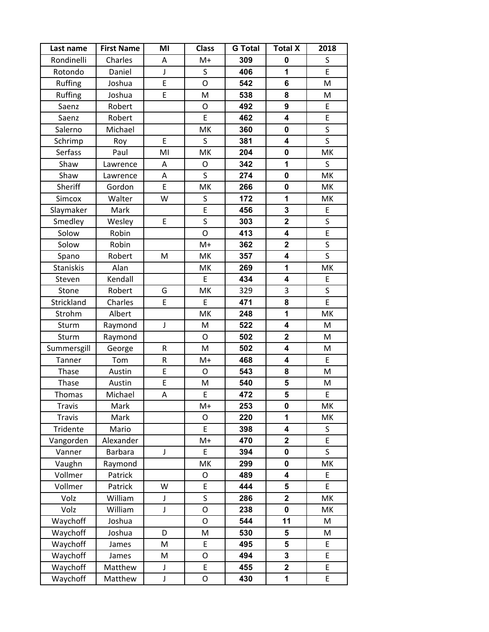| Last name        | <b>First Name</b> | MI          | <b>Class</b>   | <b>G</b> Total | <b>Total X</b>          | 2018         |
|------------------|-------------------|-------------|----------------|----------------|-------------------------|--------------|
| Rondinelli       | Charles           | A           | $M+$           | 309            | $\mathbf 0$             | $\sf S$      |
| Rotondo          | Daniel            | J           | $\sf S$        | 406            | 1                       | E            |
| Ruffing          | Joshua            | E           | $\overline{O}$ | 542            | 6                       | M            |
| Ruffing          | Joshua            | E           | M              | 538            | 8                       | M            |
| Saenz            | Robert            |             | O              | 492            | 9                       | E            |
| Saenz            | Robert            |             | E              | 462            | 4                       | E            |
| Salerno          | Michael           |             | MK             | 360            | 0                       | $\sf S$      |
| Schrimp          | Roy               | E           | $\mathsf S$    | 381            | $\overline{\mathbf{4}}$ | $\mathsf{S}$ |
| Serfass          | Paul              | MI          | MK             | 204            | $\mathbf 0$             | MK           |
| Shaw             | Lawrence          | Α           | O              | 342            | 1                       | $\mathsf S$  |
| Shaw             | Lawrence          | Α           | S              | 274            | $\mathbf 0$             | MK           |
| Sheriff          | Gordon            | E           | MK             | 266            | 0                       | MK           |
| Simcox           | Walter            | W           | S              | 172            | 1                       | MK           |
| Slaymaker        | Mark              |             | E              | 456            | 3                       | E            |
| Smedley          | Wesley            | E           | $\sf S$        | 303            | $\overline{\mathbf{2}}$ | S            |
| Solow            | Robin             |             | $\circ$        | 413            | $\overline{\mathbf{4}}$ | E            |
| Solow            | Robin             |             | $M+$           | 362            | $\overline{\mathbf{2}}$ | $\sf S$      |
| Spano            | Robert            | M           | MK             | 357            | 4                       | $\mathsf{S}$ |
| <b>Staniskis</b> | Alan              |             | МK             | 269            | 1                       | MK           |
| Steven           | Kendall           |             | E              | 434            | $\overline{\mathbf{4}}$ | E            |
| Stone            | Robert            | G           | MK             | 329            | 3                       | $\sf S$      |
| Strickland       | Charles           | E           | E              | 471            | 8                       | E            |
| Strohm           | Albert            |             | MK             | 248            | 1                       | MK           |
| Sturm            | Raymond           | J           | M              | 522            | 4                       | M            |
| Sturm            | Raymond           |             | O              | 502            | $\overline{\mathbf{2}}$ | M            |
| Summersgill      | George            | R           | M              | 502            | $\overline{\mathbf{4}}$ | M            |
| Tanner           | Tom               | R           | $M+$           | 468            | 4                       | $\mathsf E$  |
| Thase            | Austin            | E           | O              | 543            | 8                       | M            |
| Thase            | Austin            | E           | M              | 540            | 5                       | M            |
| Thomas           | Michael           | A           | E              | 472            | 5                       | $\mathsf E$  |
| <b>Travis</b>    | Mark              |             | $M+$           | 253            | 0                       | MK           |
| Travis           | Mark              |             | O              | 220            | 1                       | МK           |
| Tridente         | Mario             |             | E              | 398            | 4                       | S            |
| Vangorden        | Alexander         |             | M+             | 470            | $\mathbf 2$             | E            |
| Vanner           | <b>Barbara</b>    | $\mathsf J$ | E              | 394            | $\mathbf 0$             | $\mathsf{S}$ |
| Vaughn           | Raymond           |             | MK             | 299            | 0                       | MK           |
| Vollmer          | Patrick           |             | O              | 489            | 4                       | E            |
| Vollmer          | Patrick           | W           | E              | 444            | 5                       | E            |
| Volz             | William           | J           | $\sf S$        | 286            | $\mathbf 2$             | MK           |
| Volz             | William           | J           | O              | 238            | $\mathbf 0$             | MK           |
| Waychoff         | Joshua            |             | O              | 544            | 11                      | M            |
| Waychoff         | Joshua            | D           | M              | 530            | 5                       | M            |
| Waychoff         | James             | M           | E              | 495            | 5                       | E            |
| Waychoff         | James             | Μ           | 0              | 494            | 3                       | E            |
| Waychoff         | Matthew           | J           | E              | 455            | $\mathbf 2$             | E            |
| Waychoff         | Matthew           | J           | O              | 430            | 1                       | E            |